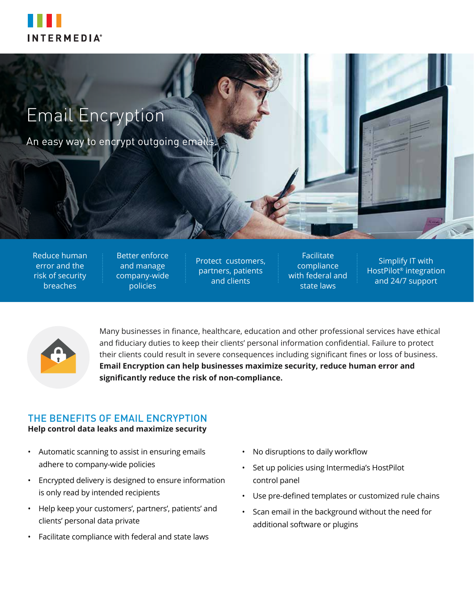

# Email Encryption

An easy way to encrypt outgoing emails.

Reduce human error and the risk of security breaches

Better enforce and manage company-wide policies

Protect customers, partners, patients and clients

Facilitate compliance with federal and state laws

Simplify IT with HostPilot® integration and 24/7 support



Many businesses in finance, healthcare, education and other professional services have ethical and fiduciary duties to keep their clients' personal information confidential. Failure to protect their clients could result in severe consequences including significant fines or loss of business. **Email Encryption can help businesses maximize security, reduce human error and significantly reduce the risk of non-compliance.**

## THE BENEFITS OF EMAIL ENCRYPTION

#### **Help control data leaks and maximize security**

- Automatic scanning to assist in ensuring emails adhere to company-wide policies
- Encrypted delivery is designed to ensure information is only read by intended recipients
- Help keep your customers', partners', patients' and clients' personal data private
- Facilitate compliance with federal and state laws
- No disruptions to daily workflow
- Set up policies using Intermedia's HostPilot control panel
- Use pre-defined templates or customized rule chains
- Scan email in the background without the need for additional software or plugins